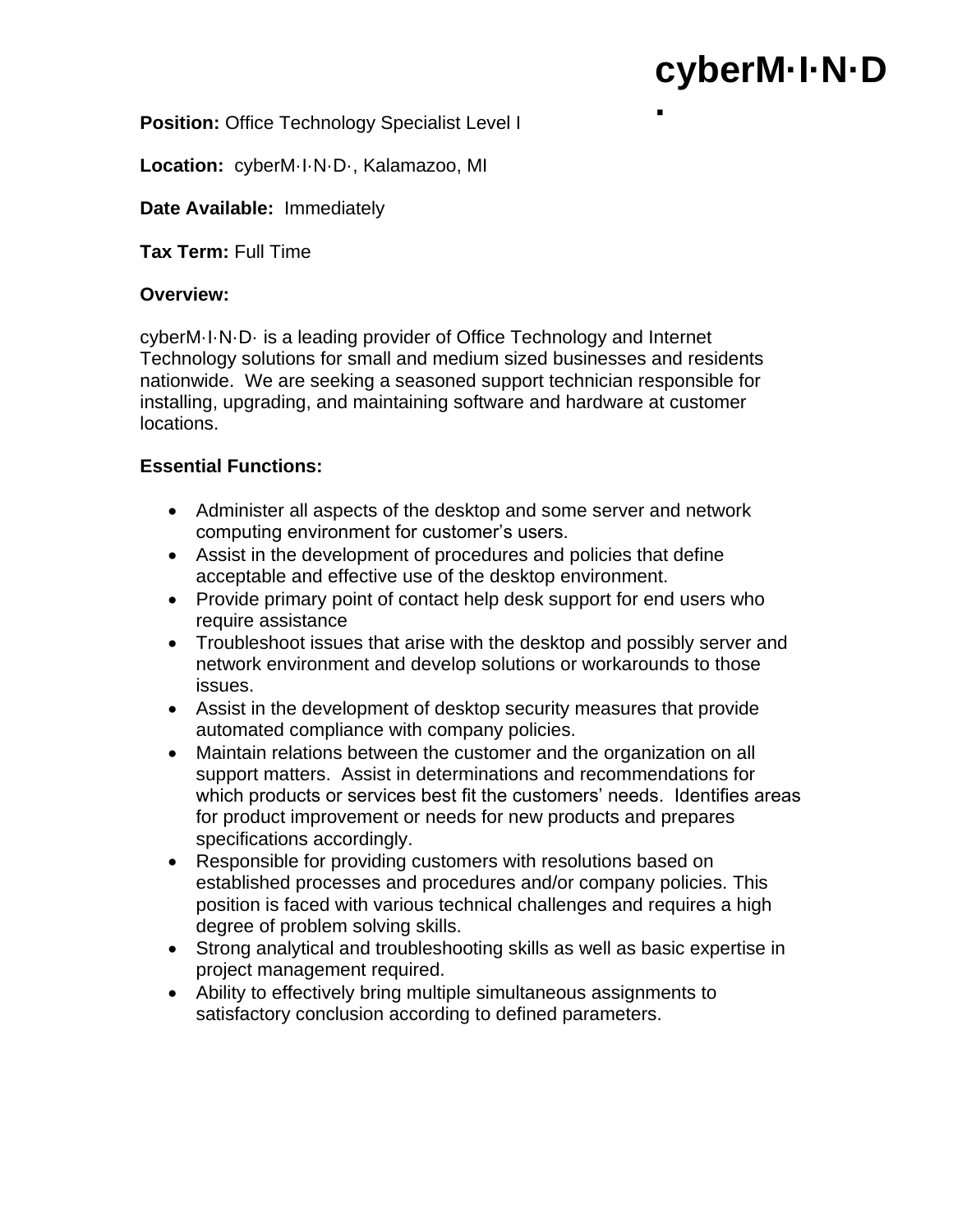# **cyberM·I·N·D**

**·**

**Position:** Office Technology Specialist Level I

**Location:** cyberM·I·N·D·, Kalamazoo, MI

## **Date Available:** Immediately

**Tax Term:** Full Time

## **Overview:**

cyberM·I·N·D· is a leading provider of Office Technology and Internet Technology solutions for small and medium sized businesses and residents nationwide. We are seeking a seasoned support technician responsible for installing, upgrading, and maintaining software and hardware at customer locations.

# **Essential Functions:**

- Administer all aspects of the desktop and some server and network computing environment for customer's users.
- Assist in the development of procedures and policies that define acceptable and effective use of the desktop environment.
- Provide primary point of contact help desk support for end users who require assistance
- Troubleshoot issues that arise with the desktop and possibly server and network environment and develop solutions or workarounds to those issues.
- Assist in the development of desktop security measures that provide automated compliance with company policies.
- Maintain relations between the customer and the organization on all support matters. Assist in determinations and recommendations for which products or services best fit the customers' needs. Identifies areas for product improvement or needs for new products and prepares specifications accordingly.
- Responsible for providing customers with resolutions based on established processes and procedures and/or company policies. This position is faced with various technical challenges and requires a high degree of problem solving skills.
- Strong analytical and troubleshooting skills as well as basic expertise in project management required.
- Ability to effectively bring multiple simultaneous assignments to satisfactory conclusion according to defined parameters.